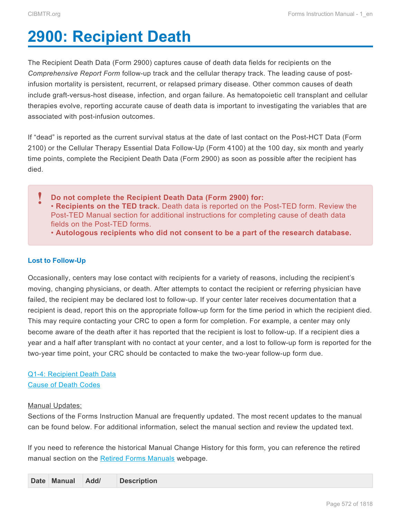# <span id="page-0-0"></span>**2900: Recipient Death**

The Recipient Death Data (Form 2900) captures cause of death data fields for recipients on the *Comprehensive Report Form* follow-up track and the cellular therapy track. The leading cause of postinfusion mortality is persistent, recurrent, or relapsed primary disease. Other common causes of death include graft-versus-host disease, infection, and organ failure. As hematopoietic cell transplant and cellular therapies evolve, reporting accurate cause of death data is important to investigating the variables that are associated with post-infusion outcomes.

If "dead" is reported as the current survival status at the date of last contact on the Post-HCT Data (Form 2100) or the Cellular Therapy Essential Data Follow-Up (Form 4100) at the 100 day, six month and yearly time points, complete the Recipient Death Data (Form 2900) as soon as possible after the recipient has died.

**Do not complete the Recipient Death Data (Form 2900) for:** • **Recipients on the TED track.** Death data is reported on the Post-TED form. Review the Post-TED Manual section for additional instructions for completing cause of death data fields on the Post-TED forms. **!**

• **Autologous recipients who did not consent to be a part of the research database.**

### **Lost to Follow-Up**

Occasionally, centers may lose contact with recipients for a variety of reasons, including the recipient's moving, changing physicians, or death. After attempts to contact the recipient or referring physician have failed, the recipient may be declared lost to follow-up. If your center later receives documentation that a recipient is dead, report this on the appropriate follow-up form for the time period in which the recipient died. This may require contacting your CRC to open a form for completion. For example, a center may only become aware of the death after it has reported that the recipient is lost to follow-up. If a recipient dies a year and a half after transplant with no contact at your center, and a lost to follow-up form is reported for the two-year time point, your CRC should be contacted to make the two-year follow-up form due.

## [Q1-4: Recipient Death Data](#page-2-0) [Cause of Death Codes](#page-4-0)

#### Manual Updates:

Sections of the Forms Instruction Manual are frequently updated. The most recent updates to the manual can be found below. For additional information, select the manual section and review the updated text.

If you need to reference the historical Manual Change History for this form, you can reference the retired manual section on the [Retired Forms Manuals](https://www.cibmtr.org/DataManagement/TrainingReference/Manuals/Retired%20Forms%20Manuals/pages/index.aspx) webpage.

|  | Date Manual | Add/ | <b>Description</b> |
|--|-------------|------|--------------------|
|--|-------------|------|--------------------|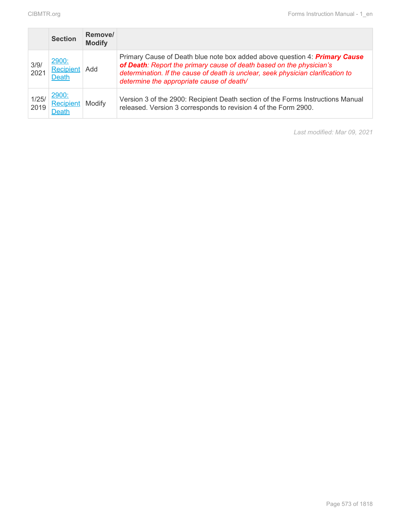|               | <b>Section</b>                            | Remove/<br><b>Modify</b> |                                                                                                                                                                                                                                                                                            |
|---------------|-------------------------------------------|--------------------------|--------------------------------------------------------------------------------------------------------------------------------------------------------------------------------------------------------------------------------------------------------------------------------------------|
| 3/9/<br>2021  | 2900:<br>Recipient Add<br>Death           |                          | Primary Cause of Death blue note box added above question 4: <b>Primary Cause</b><br>of Death: Report the primary cause of death based on the physician's<br>determination. If the cause of death is unclear, seek physician clarification to<br>determine the appropriate cause of death/ |
| 1/25/<br>2019 | 2900:<br><b>Recipient</b><br><b>Death</b> | Modify                   | Version 3 of the 2900: Recipient Death section of the Forms Instructions Manual<br>released. Version 3 corresponds to revision 4 of the Form 2900.                                                                                                                                         |

*Last modified: Mar 09, 2021*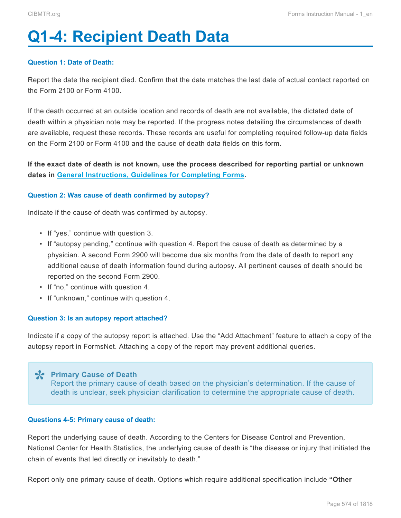# <span id="page-2-0"></span>**Q1-4: Recipient Death Data**

#### **Question 1: Date of Death:**

Report the date the recipient died. Confirm that the date matches the last date of actual contact reported on the Form 2100 or Form 4100.

If the death occurred at an outside location and records of death are not available, the dictated date of death within a physician note may be reported. If the progress notes detailing the circumstances of death are available, request these records. These records are useful for completing required follow-up data fields on the Form 2100 or Form 4100 and the cause of death data fields on this form.

**If the exact date of death is not known, use the process described for reporting partial or unknown dates in General Instructions, Guidelines for Completing Forms.**

#### **Question 2: Was cause of death confirmed by autopsy?**

Indicate if the cause of death was confirmed by autopsy.

- If "yes," continue with question 3.
- If "autopsy pending," continue with question 4. Report the cause of death as determined by a physician. A second Form 2900 will become due six months from the date of death to report any additional cause of death information found during autopsy. All pertinent causes of death should be reported on the second Form 2900.
- If "no," continue with question 4.
- If "unknown," continue with question 4.

#### **Question 3: Is an autopsy report attached?**

Indicate if a copy of the autopsy report is attached. Use the "Add Attachment" feature to attach a copy of the autopsy report in FormsNet. Attaching a copy of the report may prevent additional queries.

**Primary Cause of Death \*** Report the primary cause of death based on the physician's determination. If the cause of death is unclear, seek physician clarification to determine the appropriate cause of death.

#### **Questions 4-5: Primary cause of death:**

Report the underlying cause of death. According to the Centers for Disease Control and Prevention, National Center for Health Statistics, the underlying cause of death is "the disease or injury that initiated the chain of events that led directly or inevitably to death."

Report only one primary cause of death. Options which require additional specification include **"Other**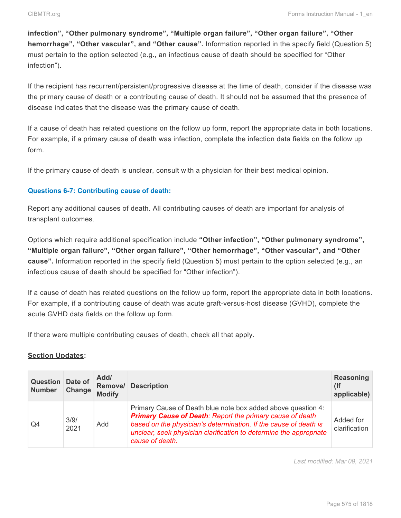**infection", "Other pulmonary syndrome", "Multiple organ failure", "Other organ failure", "Other hemorrhage", "Other vascular", and "Other cause".** Information reported in the specify field (Question 5) must pertain to the option selected (e.g., an infectious cause of death should be specified for "Other infection").

If the recipient has recurrent/persistent/progressive disease at the time of death, consider if the disease was the primary cause of death or a contributing cause of death. It should not be assumed that the presence of disease indicates that the disease was the primary cause of death.

If a cause of death has related questions on the follow up form, report the appropriate data in both locations. For example, if a primary cause of death was infection, complete the infection data fields on the follow up form.

If the primary cause of death is unclear, consult with a physician for their best medical opinion.

#### **Questions 6-7: Contributing cause of death:**

Report any additional causes of death. All contributing causes of death are important for analysis of transplant outcomes.

Options which require additional specification include **"Other infection", "Other pulmonary syndrome", "Multiple organ failure", "Other organ failure", "Other hemorrhage", "Other vascular", and "Other cause".** Information reported in the specify field (Question 5) must pertain to the option selected (e.g., an infectious cause of death should be specified for "Other infection").

If a cause of death has related questions on the follow up form, report the appropriate data in both locations. For example, if a contributing cause of death was acute graft-versus-host disease (GVHD), complete the acute GVHD data fields on the follow up form.

If there were multiple contributing causes of death, check all that apply.

#### **Section Updates:**

| Question<br><b>Number</b> | Date of<br>Change | Add/<br>Remove/<br><b>Modify</b> | <b>Description</b>                                                                                                                                                                                                                                                                            | <b>Reasoning</b><br>(If<br>applicable) |
|---------------------------|-------------------|----------------------------------|-----------------------------------------------------------------------------------------------------------------------------------------------------------------------------------------------------------------------------------------------------------------------------------------------|----------------------------------------|
| Q4                        | 3/9/<br>2021      | Add                              | Primary Cause of Death blue note box added above question 4:<br><b>Primary Cause of Death: Report the primary cause of death</b><br>based on the physician's determination. If the cause of death is<br>unclear, seek physician clarification to determine the appropriate<br>cause of death. | Added for<br>clarification             |

*Last modified: Mar 09, 2021*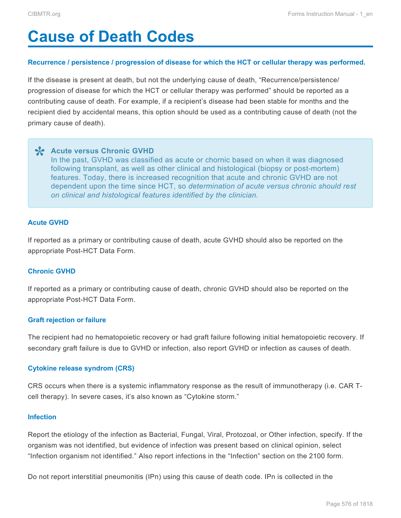# <span id="page-4-0"></span>**Cause of Death Codes**

#### **Recurrence / persistence / progression of disease for which the HCT or cellular therapy was performed.**

If the disease is present at death, but not the underlying cause of death, "Recurrence/persistence/ progression of disease for which the HCT or cellular therapy was performed" should be reported as a contributing cause of death. For example, if a recipient's disease had been stable for months and the recipient died by accidental means, this option should be used as a contributing cause of death (not the primary cause of death).

**Acute versus Chronic GVHD \*** In the past, GVHD was classified as acute or chornic based on when it was diagnosed following transplant, as well as other clinical and histological (biopsy or post-mortem) features. Today, there is increased recognition that acute and chronic GVHD are not dependent upon the time since HCT, so *determination of acute versus chronic should rest on clinical and histological features identified by the clinician.*

#### **Acute GVHD**

If reported as a primary or contributing cause of death, acute GVHD should also be reported on the appropriate Post-HCT Data Form.

#### **Chronic GVHD**

If reported as a primary or contributing cause of death, chronic GVHD should also be reported on the appropriate Post-HCT Data Form.

#### **Graft rejection or failure**

The recipient had no hematopoietic recovery or had graft failure following initial hematopoietic recovery. If secondary graft failure is due to GVHD or infection, also report GVHD or infection as causes of death.

#### **Cytokine release syndrom (CRS)**

CRS occurs when there is a systemic inflammatory response as the result of immunotherapy (i.e. CAR Tcell therapy). In severe cases, it's also known as "Cytokine storm."

#### **Infection**

Report the etiology of the infection as Bacterial, Fungal, Viral, Protozoal, or Other infection, specify. If the organism was not identified, but evidence of infection was present based on clinical opinion, select "Infection organism not identified." Also report infections in the "Infection" section on the 2100 form.

Do not report interstitial pneumonitis (IPn) using this cause of death code. IPn is collected in the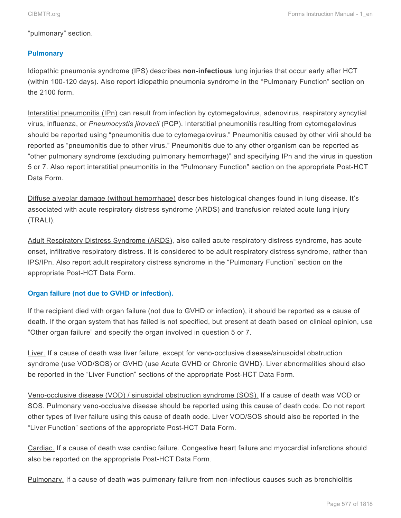"pulmonary" section.

### **Pulmonary**

Idiopathic pneumonia syndrome (IPS) describes **non-infectious** lung injuries that occur early after HCT (within 100-120 days). Also report idiopathic pneumonia syndrome in the "Pulmonary Function" section on the 2100 form.

Interstitial pneumonitis (IPn) can result from infection by cytomegalovirus, adenovirus, respiratory syncytial virus, influenza, or *Pneumocystis jirovecii* (PCP). Interstitial pneumonitis resulting from cytomegalovirus should be reported using "pneumonitis due to cytomegalovirus." Pneumonitis caused by other virii should be reported as "pneumonitis due to other virus." Pneumonitis due to any other organism can be reported as "other pulmonary syndrome (excluding pulmonary hemorrhage)" and specifying IPn and the virus in question 5 or 7. Also report interstitial pneumonitis in the "Pulmonary Function" section on the appropriate Post-HCT Data Form.

Diffuse alveolar damage (without hemorrhage) describes histological changes found in lung disease. It's associated with acute respiratory distress syndrome (ARDS) and transfusion related acute lung injury (TRALI).

Adult Respiratory Distress Syndrome (ARDS), also called acute respiratory distress syndrome, has acute onset, infiltrative respiratory distress. It is considered to be adult respiratory distress syndrome, rather than IPS/IPn. Also report adult respiratory distress syndrome in the "Pulmonary Function" section on the appropriate Post-HCT Data Form.

#### **Organ failure (not due to GVHD or infection).**

If the recipient died with organ failure (not due to GVHD or infection), it should be reported as a cause of death. If the organ system that has failed is not specified, but present at death based on clinical opinion, use "Other organ failure" and specify the organ involved in question 5 or 7.

Liver. If a cause of death was liver failure, except for veno-occlusive disease/sinusoidal obstruction syndrome (use VOD/SOS) or GVHD (use Acute GVHD or Chronic GVHD). Liver abnormalities should also be reported in the "Liver Function" sections of the appropriate Post-HCT Data Form.

Veno-occlusive disease (VOD) / sinusoidal obstruction syndrome (SOS). If a cause of death was VOD or SOS. Pulmonary veno-occlusive disease should be reported using this cause of death code. Do not report other types of liver failure using this cause of death code. Liver VOD/SOS should also be reported in the "Liver Function" sections of the appropriate Post-HCT Data Form.

Cardiac. If a cause of death was cardiac failure. Congestive heart failure and myocardial infarctions should also be reported on the appropriate Post-HCT Data Form.

Pulmonary. If a cause of death was pulmonary failure from non-infectious causes such as bronchiolitis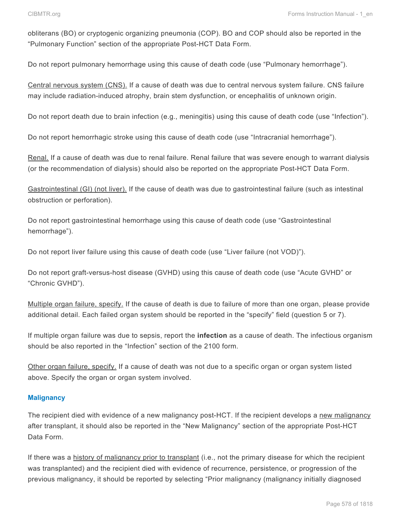obliterans (BO) or cryptogenic organizing pneumonia (COP). BO and COP should also be reported in the "Pulmonary Function" section of the appropriate Post-HCT Data Form.

Do not report pulmonary hemorrhage using this cause of death code (use "Pulmonary hemorrhage").

Central nervous system (CNS). If a cause of death was due to central nervous system failure. CNS failure may include radiation-induced atrophy, brain stem dysfunction, or encephalitis of unknown origin.

Do not report death due to brain infection (e.g., meningitis) using this cause of death code (use "Infection").

Do not report hemorrhagic stroke using this cause of death code (use "Intracranial hemorrhage").

Renal. If a cause of death was due to renal failure. Renal failure that was severe enough to warrant dialysis (or the recommendation of dialysis) should also be reported on the appropriate Post-HCT Data Form.

Gastrointestinal (GI) (not liver). If the cause of death was due to gastrointestinal failure (such as intestinal obstruction or perforation).

Do not report gastrointestinal hemorrhage using this cause of death code (use "Gastrointestinal hemorrhage").

Do not report liver failure using this cause of death code (use "Liver failure (not VOD)").

Do not report graft-versus-host disease (GVHD) using this cause of death code (use "Acute GVHD" or "Chronic GVHD").

Multiple organ failure, specify. If the cause of death is due to failure of more than one organ, please provide additional detail. Each failed organ system should be reported in the "specify" field (question 5 or 7).

If multiple organ failure was due to sepsis, report the **infection** as a cause of death. The infectious organism should be also reported in the "Infection" section of the 2100 form.

Other organ failure, specify. If a cause of death was not due to a specific organ or organ system listed above. Specify the organ or organ system involved.

#### **Malignancy**

The recipient died with evidence of a new malignancy post-HCT. If the recipient develops a new malignancy after transplant, it should also be reported in the "New Malignancy" section of the appropriate Post-HCT Data Form.

If there was a history of malignancy prior to transplant (i.e., not the primary disease for which the recipient was transplanted) and the recipient died with evidence of recurrence, persistence, or progression of the previous malignancy, it should be reported by selecting "Prior malignancy (malignancy initially diagnosed